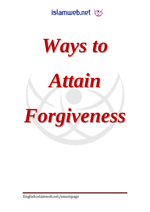





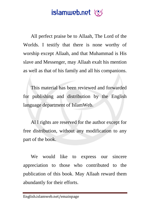All perfect praise be to Allaah, The Lord of the Worlds. I testify that there is none worthy of worship except Allaah, and that Muhammad is His slave and Messenger, may Allaah exalt his mention as well as that of his family and all his companions.

This material has been reviewed and forwarded for publishing and distribution by the English language department of IslamWeb.

Al l rights are reserved for the author except for free distribution, without any modification to any part of the book.

We would like to express our sincere appreciation to those who contributed to the publication of this book. May Allaah reward them abundantly for their efforts.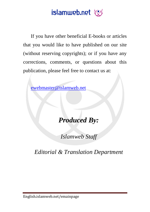If you have other beneficial E-books or articles that you would like to have published on our site (without reserving copyrights); or if you have any corrections, comments, or questions about this publication, please feel free to contact us at:

[ewebmaster@islamweb.net](mailto:ewebmaster@islamweb.net)

#### *Produced By:*

*Islamweb Staff*

*Editorial & Translation Department*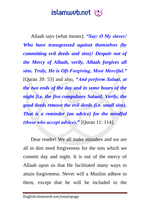Allaah says (what means): *"Say: O My slaves! Who have transgressed against themselves (by committing evil deeds and sins)! Despair not of the Mercy of Allaah, verily, Allaah forgives all sins. Truly, He is Oft-Forgiving, Most Merciful."* [Quran 39: 53] and also, *"And perform Salaat, at the two ends of the day and in some hours of the night [i.e. the five compulsory Salaat]. Verily, the good deeds remove the evil deeds (i.e. small sins). That is a reminder (an advice) for the mindful (those who accept advice)."* [Quran 11: 114].

Dear reader! We all make mistakes and we are all in dire need forgiveness for the sins which we commit day and night. It is out of the mercy of Allaah upon us that He facilitated many ways to attain forgiveness. Never will a Muslim adhere to them, except that he will be included in the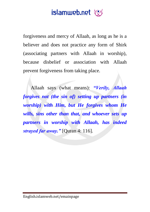# islamweb.net

forgiveness and mercy of Allaah, as long as he is a believer and does not practice any form of Shirk (associating partners with Allaah in worship), because disbelief or association with Allaah prevent forgiveness from taking place.

Allaah says (what means): *"Verily, Allaah forgives not (the sin of) setting up partners (in worship) with Him, but He forgives whom He wills, sins other than that, and whoever sets up partners in worship with Allaah, has indeed strayed far away."* [Quran 4: 116].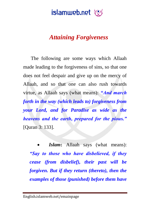#### *Attaining Forgiveness*

The following are some ways which Allaah made leading to the forgiveness of sins, so that one does not feel despair and give up on the mercy of Allaah, and so that one can also rush towards virtue, as Allaah says (what means): *"And march forth in the way (which leads to) forgiveness from your Lord, and for Paradise as wide as the heavens and the earth, prepared for the pious."*  [Quran 3: 133].

 *Islam***:** Allaah says (what means): *"Say to those who have disbelieved, if they cease (from disbelief), their past will be forgiven. But if they return (thereto), then the examples of those (punished) before them have*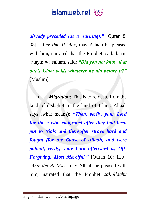*already preceded (as a warning)."* [Quran 8: 38]. *'Amr ibn Al-'Aas*, may Allaah be pleased with him, narrated that the Prophet, sallallaahu 'alayhi wa sallam, said: *"Did you not know that one's Islam voids whatever he did before it?"* [Muslim].

 *Migration***:** This is to relocate from the land of disbelief to the land of Islam. Allaah says (what means): *"Then, verily, your Lord for those who emigrated after they had been put to trials and thereafter strove hard and fought (for the Cause of Allaah) and were patient, verily, your Lord afterward is, Oft-Forgiving, Most Merciful."* [Quran 16: 110]. *'Amr ibn Al-'Aas*, may Allaah be pleased with him, narrated that the Prophet *sallallaahu*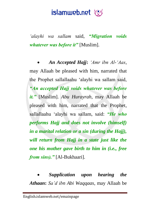*'alayhi wa sallam* said, *"Migration voids whatever was before it"* [Muslim].

 *An Accepted Hajj***:** *'Amr ibn Al-'Aas*, may Allaah be pleased with him, narrated that the Prophet sallallaahu 'alayhi wa sallam said, *"An accepted Hajj voids whatever was before it."* [Muslim]. *Abu Hurayrah*, may Allaah be pleased with him, narrated that the Prophet, sallallaahu 'alayhi wa sallam, said: *"He who performs Hajj and does not involve (himself) in a marital relation or a sin (during the Hajj), will return from Hajj in a state just like the one his mother gave birth to him in (i.e., free from sins)."* [Al-Bukhaari].

 *Supplication upon hearing the Athaan***:** *Sa'd ibn Abi Waqqaas*, may Allaah be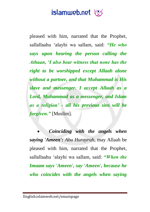pleased with him, narrated that the Prophet, sallallaahu 'alayhi wa sallam, said: *"He who says upon hearing the person calling the Athaan, "I also bear witness that none has the right to be worshipped except Allaah alone without a partner, and that Muhammad is His slave and messenger. I accept Allaah as a Lord, Muhammad as a messenger, and Islam as a religion" - all his previous sins will be forgiven."* [Muslim].

 *Coinciding with the angels when saying 'Ameen': Abu Hurayrah,* may Allaah be pleased with him, narrated that the Prophet, sallallaahu 'alayhi wa sallam, said: *"When the Imaam says 'Ameen', say 'Ameen', because he who coincides with the angels when saying*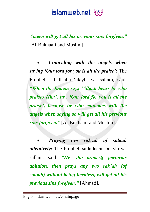*Ameen will get all his previous sins forgiven."* [Al-Bukhaari and Muslim].

 *Coinciding with the angels when saying "Our lord for you is all the praise":* The Prophet, sallallaahu 'alayhi wa sallam, said: *"When the Imaam says "Allaah hears he who praises Him", say, "Our lord for you is all the praise", because he who coincides with the angels when saying so will get all his previous sins forgiven."* [Al-Bukhaari and Muslim].

 *Praying two rak"ah of salaah attentively***:** The Prophet, sallallaahu 'alayhi wa sallam, said: *"He who properly performs ablution, then prays any two rak"ah (of salaah) without being heedless, will get all his previous sins forgiven."* [Ahmad].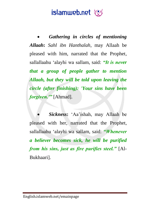*Gathering in circles of mentioning Allaah***:** *Sahl ibn Hanthalah*, may Allaah be pleased with him, narrated that the Prophet, sallallaahu 'alayhi wa sallam, said: *"It is never that a group of people gather to mention Allaah, but they will be told upon leaving the circle (after finishing): 'Your sins have been forgiven.'"* [Ahmad].

 *Sickness***:** 'Aa'ishah, may Allaah be pleased with her, narrated that the Prophet, sallallaahu 'alayhi wa sallam, said: *"Whenever a believer becomes sick, he will be purified from his sins, just as fire purifies steel."* [Al-Bukhaari].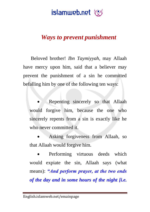

#### *Ways to prevent punishment*

Beloved brother! *Ibn Taymiyyah*, may Allaah have mercy upon him, said that a believer may prevent the punishment of a sin he committed befalling him by one of the following ten ways:

 Repenting sincerely so that Allaah would forgive him, because the one who sincerely repents from a sin is exactly like he who never committed it.

 Asking forgiveness from Allaah, so that Allaah would forgive him.

 Performing virtuous deeds which would expiate the sin, Allaah says (what means): *"And perform prayer, at the two ends of the day and in some hours of the night [i.e.*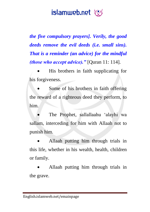*the five compulsory prayers]. Verily, the good deeds remove the evil deeds (i.e. small sins). That is a reminder (an advice) for the mindful (those who accept advice)."* [Quran 11: 114].

 His brothers in faith supplicating for his forgiveness.

 Some of his brothers in faith offering the reward of a righteous deed they perform, to him.

 The Prophet, sallallaahu 'alayhi wa sallam, interceding for him with Allaah not to punish him.

 Allaah putting him through trials in this life, whether in his wealth, health, children or family.

 Allaah putting him through trials in the grave.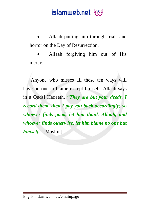Allaah putting him through trials and horror on the Day of Resurrection.

 Allaah forgiving him out of His mercy.

Anyone who misses all these ten ways will have no one to blame except himself. Allaah says in a Qudsi Hadeeth, *"They are but your deeds, I record them, then I pay you back accordingly; so whoever finds good, let him thank Allaah, and whoever finds otherwise, let him blame no one but himself."* [Muslim].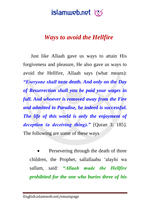#### *Ways to avoid the Hellfire*

Just like Allaah gave us ways to attain His forgiveness and pleasure, He also gave us ways to avoid the Hellfire, Allaah says (what means): *"Everyone shall taste death. And only on the Day of Resurrection shall you be paid your wages in full. And whoever is removed away from the Fire and admitted to Paradise, he indeed is successful. The life of this world is only the enjoyment of deception (a deceiving thing)."* [Quran 3: 185]. The following are some of these ways

 Persevering through the death of three children, the Prophet, sallallaahu 'alayhi wa sallam, said: *"Allaah made the Hellfire prohibited for the one who buries three of his*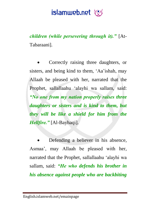

*children (while persevering through it)."* [At-Tabaraani].

 Correctly raising three daughters, or sisters, and being kind to them, 'Aa'ishah, may Allaah be pleased with her, narrated that the Prophet, sallallaahu 'alayhi wa sallam, said: *"No one from my nation properly raises three daughters or sisters and is kind to them, but they will be like a shield for him from the Hellfire."* [Al-Bayhaqi].

 Defending a believer in his absence, Asmaa', may Allaah be pleased with her, narrated that the Prophet, sallallaahu 'alayhi wa sallam, said: *"He who defends his brother in his absence against people who are backbiting*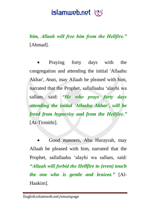*him, Allaah will free him from the Hellfire."* [Ahmad].

 Praying forty days with the congregation and attending the initial 'Allaahu Akbar', *Anas*, may Allaah be pleased with him, narrated that the Prophet, sallallaahu 'alayhi wa sallam, said: *"He who prays forty days attending the initial 'Allaahu Akbar', will be freed from hypocrisy and from the Hellfire."* [At-Tirmithi].

 Good manners, Abu Hurayrah, may Allaah be pleased with him, narrated that the Prophet, sallallaahu 'alayhi wa sallam, said: *"Allaah will forbid the Hellfire to (even) touch the one who is gentle and lenient."* [Al-Haakim].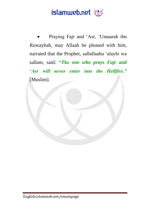## islamweb.net

 Praying Fajr and 'Asr, 'Umaarah ibn Ruwaybah, may Allaah be pleased with him, narrated that the Prophet, sallallaahu 'alayhi wa sallam, said: *"The one who prays Fajr and "Asr will never enter into the Hellfire."*  [Muslim].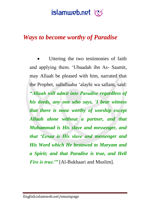#### *Ways to become worthy of Paradise*

 Uttering the two testimonies of faith and applying them. 'Ubaadah ibn As- Saamit, may Allaah be pleased with him, narrated that the Prophet, sallallaahu 'alayhi wa sallam, said: *"Allaah will admit into Paradise regardless of his deeds, any one who says, 'I bear witness that there is none worthy of worship except Allaah alone without a partner, and that Muhammad is His slave and messenger, and that "Eesaa is His slave and messenger and His Word which He bestowed to Maryam and a Spirit; and that Paradise is true, and Hell Fire is true.'*" [Al-Bukhaari and Muslim].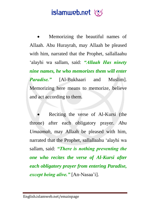Memorizing the beautiful names of Allaah. Abu Hurayrah, may Allaah be pleased with him, narrated that the Prophet, sallallaahu 'alayhi wa sallam, said: *"Allaah Has ninety nine names, he who memorizes them will enter Paradise."* [Al-Bukhaari and Muslim]. Memorizing here means to memorize, believe and act according to them.

 Reciting the verse of Al-Kursi (the throne) after each obligatory prayer. *Abu Umaamah*, may Allaah be pleased with him, narrated that the Prophet, sallallaahu 'alayhi wa sallam, said: *"There is nothing preventing the one who recites the verse of Al-Kursi after each obligatory prayer from entering Paradise, except being alive."* [An-Nasaa'i].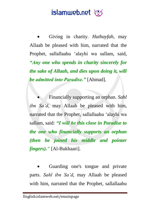Giving in charity. *Huthayfah*, may Allaah be pleased with him, narrated that the Prophet, sallallaahu 'alayhi wa sallam, said, *"Any one who spends in charity sincerely for the sake of Allaah, and dies upon doing it, will be admitted into Paradise."* [Ahmad].

 Financially supporting an orphan. *Sahl ibn Sa'd*, may Allaah be pleased with him, narrated that the Prophet, sallallaahu 'alayhi wa sallam, said: *"I will be this close in Paradise to the one who financially supports an orphan (then he joined his middle and pointer fingers)."* [Al-Bukhaari].

 Guarding one's tongue and private parts. *Sahl ibn Sa'd*, may Allaah be pleased with him, narrated that the Prophet, sallallaahu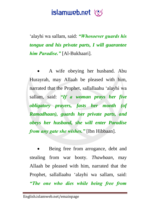'alayhi wa sallam, said: *"Whosoever guards his tongue and his private parts, I will guarantee him Paradise."* [Al-Bukhaari].

 A wife obeying her husband. Abu Hurayrah, may Allaah be pleased with him, narrated that the Prophet, sallallaahu 'alayhi wa sallam, said: *"If a woman prays her five obligatory prayers, fasts her month (of Ramadhaan), guards her private parts, and obeys her husband, she will enter Paradise from any gate she wishes."* [Ibn Hibbaan].

 Being free from arrogance, debt and stealing from war booty. *Thawbaan*, may Allaah be pleased with him, narrated that the Prophet, sallallaahu 'alayhi wa sallam, said: *"The one who dies while being free from*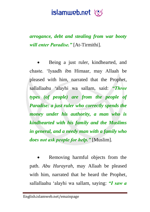*arrogance, debt and stealing from war booty will enter Paradise."* [At-Tirmithi].

 Being a just ruler, kindhearted, and chaste. 'Iyaadh ibn Himaar, may Allaah be pleased with him, narrated that the Prophet, sallallaahu 'alayhi wa sallam, said: *"Three types (of people) are from the people of Paradise: a just ruler who correctly spends the money under his authority, a man who is kindhearted with his family and the Muslims in general, and a needy man with a family who does not ask people for help."* [Muslim].

 Removing harmful objects from the path. *Abu Hurayrah*, may Allaah be pleased with him, narrated that he heard the Prophet, sallallaahu 'alayhi wa sallam, saying: *"I saw a*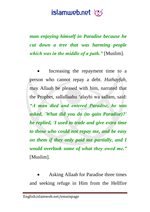*man enjoying himself in Paradise because he cut down a tree that was harming people which was in the middle of a path."* [Muslim].

 Increasing the repayment time to a person who cannot repay a debt. *Huthayfah*, may Allaah be pleased with him, narrated that the Prophet, sallallaahu 'alayhi wa sallam, said: *"A man died and entered Paradise, he was asked, 'What did you do (to gain Paradise)?' he replied, 'I used to trade and give extra time to those who could not repay me, and be easy on them if they only paid me partially, and I would overlook some of what they owed me."* [Muslim].

 Asking Allaah for Paradise three times and seeking refuge in Him from the Hellfire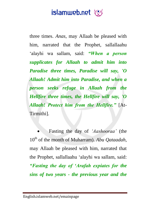three times. *Anas*, may Allaah be pleased with him, narrated that the Prophet, sallallaahu 'alayhi wa sallam, said: *"When a person supplicates for Allaah to admit him into Paradise three times, Paradise will say, 'O Allaah! Admit him into Paradise, and when a person seeks refuge in Allaah from the Hellfire three times, the Hellfire will say, 'O Allaah! Protect him from the Hellfire."* [At-Tirmithi].

 Fasting the day of *'Aashooraa'* (the 10th of the month of Muharram). *Abu Qataadah*, may Allaah be pleased with him, narrated that the Prophet, sallallaahu 'alayhi wa sallam, said: *"Fasting the day of "Arafah expiates for the sins of two years - the previous year and the*